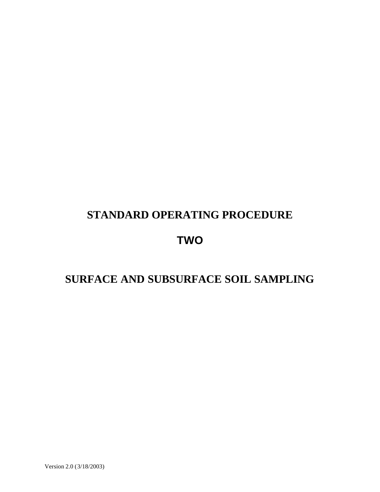# **STANDARD OPERATING PROCEDURE**

## **TWO**

# **SURFACE AND SUBSURFACE SOIL SAMPLING**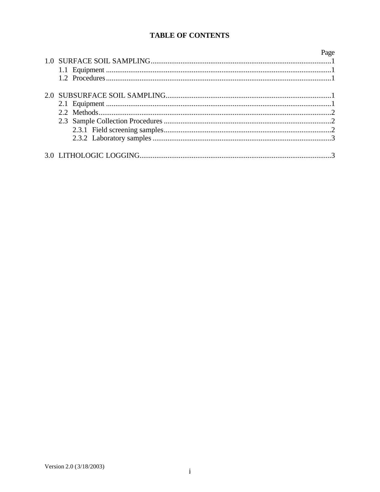## **TABLE OF CONTENTS**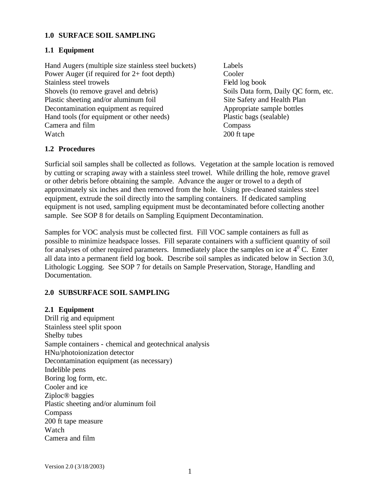#### **1.0 SURFACE SOIL SAMPLING**

#### **1.1 Equipment**

Hand Augers (multiple size stainless steel buckets) Labels Power Auger (if required for 2+ foot depth) Cooler Stainless steel trowels Field log book Shovels (to remove gravel and debris) Soils Data form, Daily QC form, etc. Plastic sheeting and/or aluminum foil Site Safety and Health Plan Decontamination equipment as required Appropriate sample bottles Hand tools (for equipment or other needs) Plastic bags (sealable) Camera and film Compass Watch 200 ft tape

#### **1.2 Procedures**

Surficial soil samples shall be collected as follows. Vegetation at the sample location is removed by cutting or scraping away with a stainless steel trowel. While drilling the hole, remove gravel or other debris before obtaining the sample. Advance the auger or trowel to a depth of approximately six inches and then removed from the hole. Using pre-cleaned stainless steel equipment, extrude the soil directly into the sampling containers. If dedicated sampling equipment is not used, sampling equipment must be decontaminated before collecting another sample. See SOP 8 for details on Sampling Equipment Decontamination.

Samples for VOC analysis must be collected first. Fill VOC sample containers as full as possible to minimize headspace losses. Fill separate containers with a sufficient quantity of soil for analyses of other required parameters. Immediately place the samples on ice at  $4^{\circ}$  C. Enter all data into a permanent field log book. Describe soil samples as indicated below in Section 3.0, Lithologic Logging. See SOP 7 for details on Sample Preservation, Storage, Handling and Documentation.

#### **2.0 SUBSURFACE SOIL SAMPLING**

#### **2.1 Equipment**

Drill rig and equipment Stainless steel split spoon Shelby tubes Sample containers - chemical and geotechnical analysis HNu/photoionization detector Decontamination equipment (as necessary) Indelible pens Boring log form, etc. Cooler and ice Ziploc® baggies Plastic sheeting and/or aluminum foil Compass 200 ft tape measure Watch Camera and film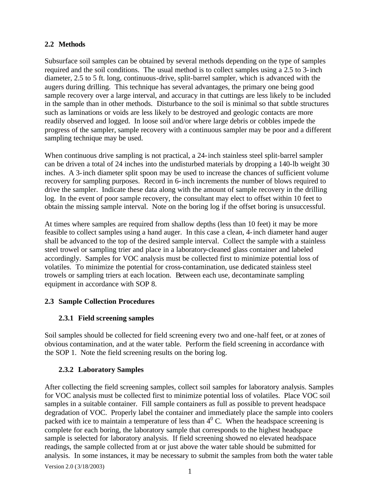#### **2.2 Methods**

Subsurface soil samples can be obtained by several methods depending on the type of samples required and the soil conditions. The usual method is to collect samples using a 2.5 to 3-inch diameter, 2.5 to 5 ft. long, continuous-drive, split-barrel sampler, which is advanced with the augers during drilling. This technique has several advantages, the primary one being good sample recovery over a large interval, and accuracy in that cuttings are less likely to be included in the sample than in other methods. Disturbance to the soil is minimal so that subtle structures such as laminations or voids are less likely to be destroyed and geologic contacts are more readily observed and logged. In loose soil and/or where large debris or cobbles impede the progress of the sampler, sample recovery with a continuous sampler may be poor and a different sampling technique may be used.

When continuous drive sampling is not practical, a 24-inch stainless steel split-barrel sampler can be driven a total of 24 inches into the undisturbed materials by dropping a 140-lb weight 30 inches. A 3-inch diameter split spoon may be used to increase the chances of sufficient volume recovery for sampling purposes. Record in 6-inch increments the number of blows required to drive the sampler. Indicate these data along with the amount of sample recovery in the drilling log. In the event of poor sample recovery, the consultant may elect to offset within 10 feet to obtain the missing sample interval. Note on the boring log if the offset boring is unsuccessful.

At times where samples are required from shallow depths (less than 10 feet) it may be more feasible to collect samples using a hand auger. In this case a clean, 4-inch diameter hand auger shall be advanced to the top of the desired sample interval. Collect the sample with a stainless steel trowel or sampling trier and place in a laboratory-cleaned glass container and labeled accordingly. Samples for VOC analysis must be collected first to minimize potential loss of volatiles. To minimize the potential for cross-contamination, use dedicated stainless steel trowels or sampling triers at each location. Between each use, decontaminate sampling equipment in accordance with SOP 8.

#### **2.3 Sample Collection Procedures**

## **2.3.1 Field screening samples**

Soil samples should be collected for field screening every two and one-half feet, or at zones of obvious contamination, and at the water table. Perform the field screening in accordance with the SOP 1. Note the field screening results on the boring log.

#### **2.3.2 Laboratory Samples**

After collecting the field screening samples, collect soil samples for laboratory analysis. Samples for VOC analysis must be collected first to minimize potential loss of volatiles. Place VOC soil samples in a suitable container. Fill sample containers as full as possible to prevent headspace degradation of VOC. Properly label the container and immediately place the sample into coolers packed with ice to maintain a temperature of less than  $4^{\circ}$  C. When the headspace screening is complete for each boring, the laboratory sample that corresponds to the highest headspace sample is selected for laboratory analysis. If field screening showed no elevated headspace readings, the sample collected from at or just above the water table should be submitted for analysis. In some instances, it may be necessary to submit the samples from both the water table